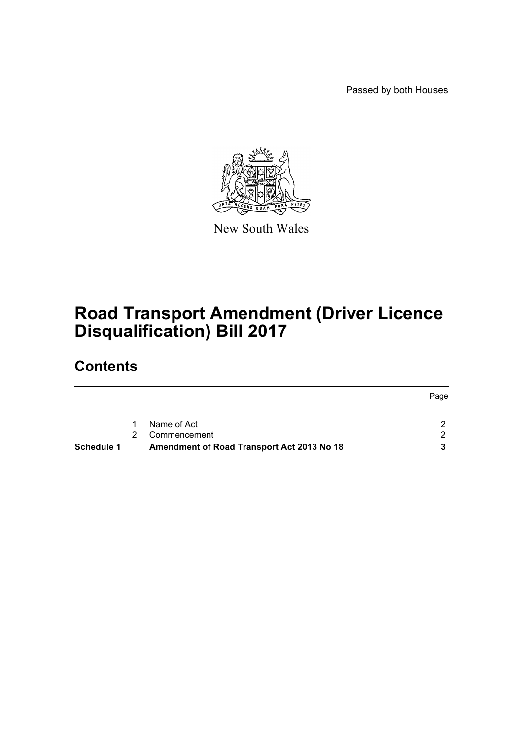Passed by both Houses



New South Wales

# **Road Transport Amendment (Driver Licence Disqualification) Bill 2017**

# **Contents**

|            |                                            |              | Page |
|------------|--------------------------------------------|--------------|------|
|            |                                            | Name of Act  |      |
|            | $\mathcal{P}$                              | Commencement | - 2  |
| Schedule 1 | Amendment of Road Transport Act 2013 No 18 |              |      |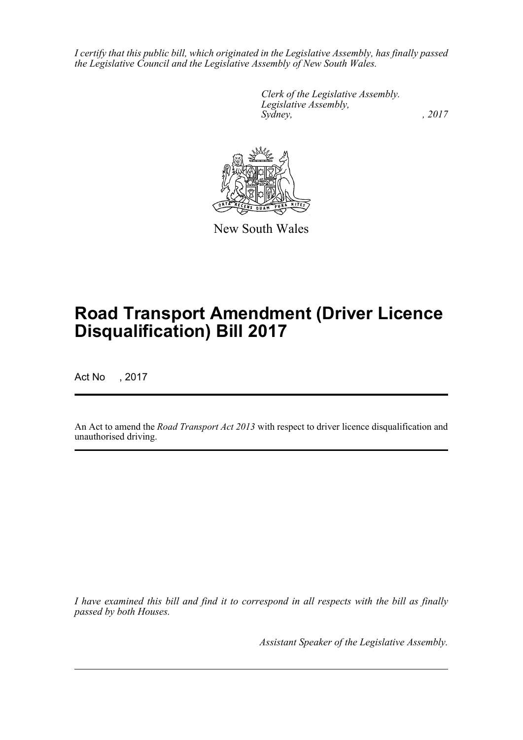*I certify that this public bill, which originated in the Legislative Assembly, has finally passed the Legislative Council and the Legislative Assembly of New South Wales.*

> *Clerk of the Legislative Assembly. Legislative Assembly, Sydney,* , 2017



New South Wales

# **Road Transport Amendment (Driver Licence Disqualification) Bill 2017**

Act No , 2017

An Act to amend the *Road Transport Act 2013* with respect to driver licence disqualification and unauthorised driving.

*I have examined this bill and find it to correspond in all respects with the bill as finally passed by both Houses.*

*Assistant Speaker of the Legislative Assembly.*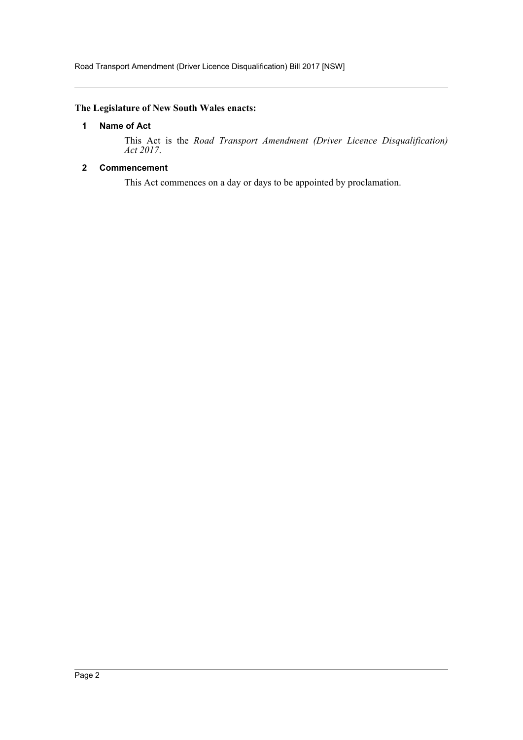# <span id="page-2-0"></span>**The Legislature of New South Wales enacts:**

# **1 Name of Act**

This Act is the *Road Transport Amendment (Driver Licence Disqualification) Act 2017*.

# <span id="page-2-1"></span>**2 Commencement**

This Act commences on a day or days to be appointed by proclamation.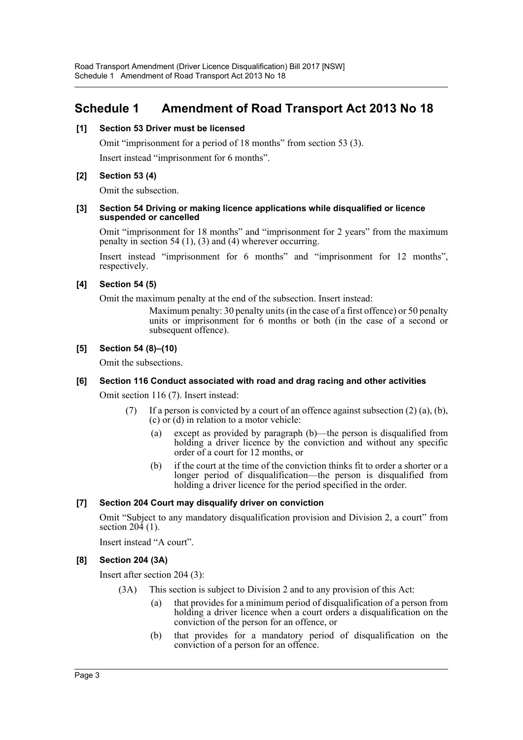# <span id="page-3-0"></span>**Schedule 1 Amendment of Road Transport Act 2013 No 18**

# **[1] Section 53 Driver must be licensed**

Omit "imprisonment for a period of 18 months" from section 53 (3).

Insert instead "imprisonment for 6 months".

# **[2] Section 53 (4)**

Omit the subsection.

#### **[3] Section 54 Driving or making licence applications while disqualified or licence suspended or cancelled**

Omit "imprisonment for 18 months" and "imprisonment for 2 years" from the maximum penalty in section 54 (1), (3) and (4) wherever occurring.

Insert instead "imprisonment for 6 months" and "imprisonment for 12 months", respectively.

# **[4] Section 54 (5)**

Omit the maximum penalty at the end of the subsection. Insert instead:

Maximum penalty: 30 penalty units (in the case of a first offence) or 50 penalty units or imprisonment for 6 months or both (in the case of a second or subsequent offence).

# **[5] Section 54 (8)–(10)**

Omit the subsections.

# **[6] Section 116 Conduct associated with road and drag racing and other activities**

Omit section 116 (7). Insert instead:

- (7) If a person is convicted by a court of an offence against subsection  $(2)$  (a), (b), (c) or (d) in relation to a motor vehicle:
	- (a) except as provided by paragraph (b)—the person is disqualified from holding a driver licence by the conviction and without any specific order of a court for 12 months, or
	- (b) if the court at the time of the conviction thinks fit to order a shorter or a longer period of disqualification—the person is disqualified from holding a driver licence for the period specified in the order.

# **[7] Section 204 Court may disqualify driver on conviction**

Omit "Subject to any mandatory disqualification provision and Division 2, a court" from section 204 (1).

Insert instead "A court".

# **[8] Section 204 (3A)**

Insert after section 204 (3):

- (3A) This section is subject to Division 2 and to any provision of this Act:
	- (a) that provides for a minimum period of disqualification of a person from holding a driver licence when a court orders a disqualification on the conviction of the person for an offence, or
	- (b) that provides for a mandatory period of disqualification on the conviction of a person for an offence.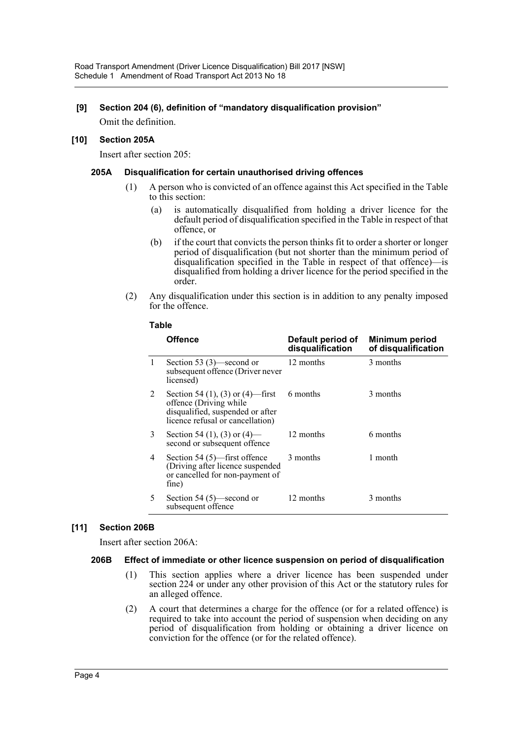# **[9] Section 204 (6), definition of "mandatory disqualification provision"**

Omit the definition.

# **[10] Section 205A**

Insert after section 205:

# **205A Disqualification for certain unauthorised driving offences**

- (1) A person who is convicted of an offence against this Act specified in the Table to this section:
	- (a) is automatically disqualified from holding a driver licence for the default period of disqualification specified in the Table in respect of that offence, or
	- (b) if the court that convicts the person thinks fit to order a shorter or longer period of disqualification (but not shorter than the minimum period of disqualification specified in the Table in respect of that offence)—is disqualified from holding a driver licence for the period specified in the order.
- (2) Any disqualification under this section is in addition to any penalty imposed for the offence.

|   | Offence                                                                                                                            | Default period of<br>disqualification | <b>Minimum period</b><br>of disqualification |
|---|------------------------------------------------------------------------------------------------------------------------------------|---------------------------------------|----------------------------------------------|
| 1 | Section 53 $(3)$ —second or<br>subsequent offence (Driver never<br>licensed)                                                       | 12 months                             | 3 months                                     |
| 2 | Section 54 (1), (3) or (4)—first<br>offence (Driving while<br>disqualified, suspended or after<br>licence refusal or cancellation) | 6 months                              | 3 months                                     |
| 3 | Section 54 (1), (3) or (4)—<br>second or subsequent offence                                                                        | 12 months                             | 6 months                                     |
| 4 | Section 54 $(5)$ —first offence<br>(Driving after licence suspended<br>or cancelled for non-payment of<br>fine)                    | 3 months                              | 1 month                                      |
| 5 | Section 54 $(5)$ —second or<br>subsequent offence                                                                                  | 12 months                             | 3 months                                     |

**Table**

# **[11] Section 206B**

Insert after section 206A:

# **206B Effect of immediate or other licence suspension on period of disqualification**

- (1) This section applies where a driver licence has been suspended under section 224 or under any other provision of this Act or the statutory rules for an alleged offence.
- (2) A court that determines a charge for the offence (or for a related offence) is required to take into account the period of suspension when deciding on any period of disqualification from holding or obtaining a driver licence on conviction for the offence (or for the related offence).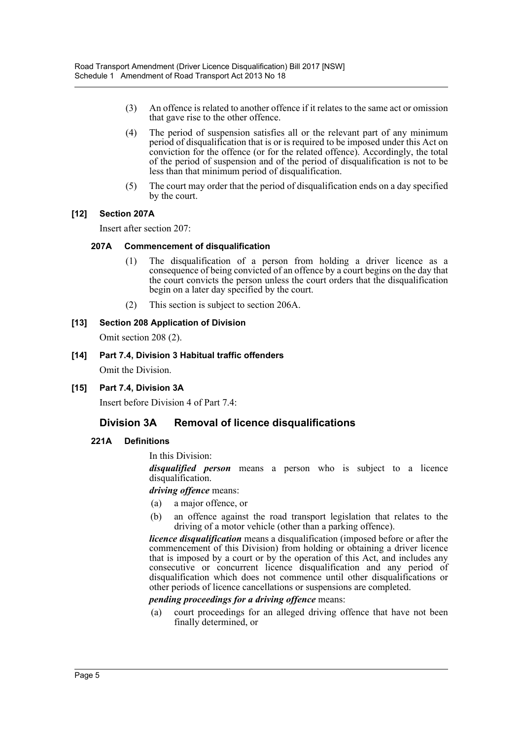- (3) An offence is related to another offence if it relates to the same act or omission that gave rise to the other offence.
- (4) The period of suspension satisfies all or the relevant part of any minimum period of disqualification that is or is required to be imposed under this Act on conviction for the offence (or for the related offence). Accordingly, the total of the period of suspension and of the period of disqualification is not to be less than that minimum period of disqualification.
- (5) The court may order that the period of disqualification ends on a day specified by the court.

# **[12] Section 207A**

Insert after section 207:

# **207A Commencement of disqualification**

- (1) The disqualification of a person from holding a driver licence as a consequence of being convicted of an offence by a court begins on the day that the court convicts the person unless the court orders that the disqualification begin on a later day specified by the court.
- (2) This section is subject to section 206A.

# **[13] Section 208 Application of Division**

Omit section 208 (2).

- **[14] Part 7.4, Division 3 Habitual traffic offenders** Omit the Division.
- **[15] Part 7.4, Division 3A**

Insert before Division 4 of Part 7.4:

# **Division 3A Removal of licence disqualifications**

# **221A Definitions**

In this Division:

*disqualified person* means a person who is subject to a licence disqualification.

# *driving offence* means:

- (a) a major offence, or
- (b) an offence against the road transport legislation that relates to the driving of a motor vehicle (other than a parking offence).

*licence disqualification* means a disqualification (imposed before or after the commencement of this Division) from holding or obtaining a driver licence that is imposed by a court or by the operation of this Act, and includes any consecutive or concurrent licence disqualification and any period of disqualification which does not commence until other disqualifications or other periods of licence cancellations or suspensions are completed.

# *pending proceedings for a driving offence* means:

(a) court proceedings for an alleged driving offence that have not been finally determined, or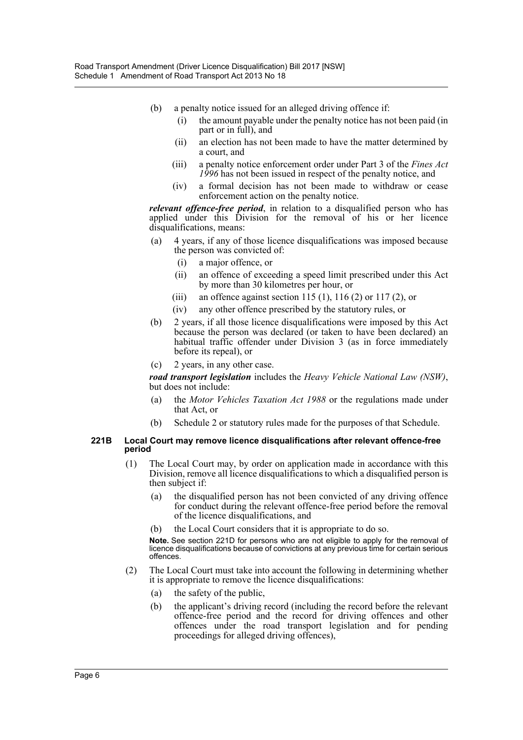- (b) a penalty notice issued for an alleged driving offence if:
	- (i) the amount payable under the penalty notice has not been paid (in part or in full), and
	- (ii) an election has not been made to have the matter determined by a court, and
	- (iii) a penalty notice enforcement order under Part 3 of the *Fines Act 1996* has not been issued in respect of the penalty notice, and
	- (iv) a formal decision has not been made to withdraw or cease enforcement action on the penalty notice.

*relevant offence-free period*, in relation to a disqualified person who has applied under this Division for the removal of his or her licence disqualifications, means:

- (a) 4 years, if any of those licence disqualifications was imposed because the person was convicted of:
	- (i) a major offence, or
	- (ii) an offence of exceeding a speed limit prescribed under this Act by more than 30 kilometres per hour, or
	- (iii) an offence against section 115 (1), 116 (2) or 117 (2), or
	- (iv) any other offence prescribed by the statutory rules, or
- (b) 2 years, if all those licence disqualifications were imposed by this Act because the person was declared (or taken to have been declared) an habitual traffic offender under Division 3 (as in force immediately before its repeal), or
- (c) 2 years, in any other case.

*road transport legislation* includes the *Heavy Vehicle National Law (NSW)*, but does not include:

- (a) the *Motor Vehicles Taxation Act 1988* or the regulations made under that Act, or
- (b) Schedule 2 or statutory rules made for the purposes of that Schedule.

#### **221B Local Court may remove licence disqualifications after relevant offence-free period**

- (1) The Local Court may, by order on application made in accordance with this Division, remove all licence disqualifications to which a disqualified person is then subject if:
	- (a) the disqualified person has not been convicted of any driving offence for conduct during the relevant offence-free period before the removal of the licence disqualifications, and
	- the Local Court considers that it is appropriate to do so.

**Note.** See section 221D for persons who are not eligible to apply for the removal of licence disqualifications because of convictions at any previous time for certain serious offences.

- (2) The Local Court must take into account the following in determining whether it is appropriate to remove the licence disqualifications:
	- (a) the safety of the public,
	- (b) the applicant's driving record (including the record before the relevant offence-free period and the record for driving offences and other offences under the road transport legislation and for pending proceedings for alleged driving offences),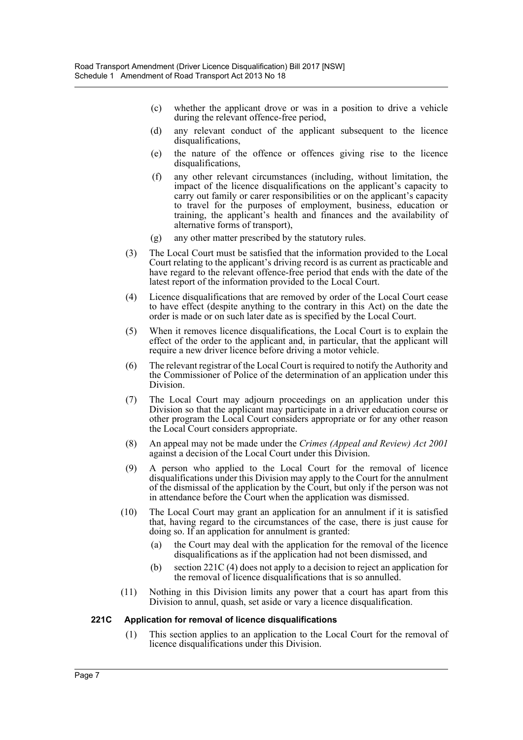- (c) whether the applicant drove or was in a position to drive a vehicle during the relevant offence-free period,
- (d) any relevant conduct of the applicant subsequent to the licence disqualifications,
- (e) the nature of the offence or offences giving rise to the licence disqualifications,
- (f) any other relevant circumstances (including, without limitation, the impact of the licence disqualifications on the applicant's capacity to carry out family or carer responsibilities or on the applicant's capacity to travel for the purposes of employment, business, education or training, the applicant's health and finances and the availability of alternative forms of transport),
- (g) any other matter prescribed by the statutory rules.
- (3) The Local Court must be satisfied that the information provided to the Local Court relating to the applicant's driving record is as current as practicable and have regard to the relevant offence-free period that ends with the date of the latest report of the information provided to the Local Court.
- (4) Licence disqualifications that are removed by order of the Local Court cease to have effect (despite anything to the contrary in this Act) on the date the order is made or on such later date as is specified by the Local Court.
- (5) When it removes licence disqualifications, the Local Court is to explain the effect of the order to the applicant and, in particular, that the applicant will require a new driver licence before driving a motor vehicle.
- (6) The relevant registrar of the Local Court is required to notify the Authority and the Commissioner of Police of the determination of an application under this Division.
- (7) The Local Court may adjourn proceedings on an application under this Division so that the applicant may participate in a driver education course or other program the Local Court considers appropriate or for any other reason the Local Court considers appropriate.
- (8) An appeal may not be made under the *Crimes (Appeal and Review) Act 2001* against a decision of the Local Court under this Division.
- (9) A person who applied to the Local Court for the removal of licence disqualifications under this Division may apply to the Court for the annulment of the dismissal of the application by the Court, but only if the person was not in attendance before the Court when the application was dismissed.
- (10) The Local Court may grant an application for an annulment if it is satisfied that, having regard to the circumstances of the case, there is just cause for doing so. If an application for annulment is granted:
	- (a) the Court may deal with the application for the removal of the licence disqualifications as if the application had not been dismissed, and
	- (b) section 221C (4) does not apply to a decision to reject an application for the removal of licence disqualifications that is so annulled.
- (11) Nothing in this Division limits any power that a court has apart from this Division to annul, quash, set aside or vary a licence disqualification.

# **221C Application for removal of licence disqualifications**

(1) This section applies to an application to the Local Court for the removal of licence disqualifications under this Division.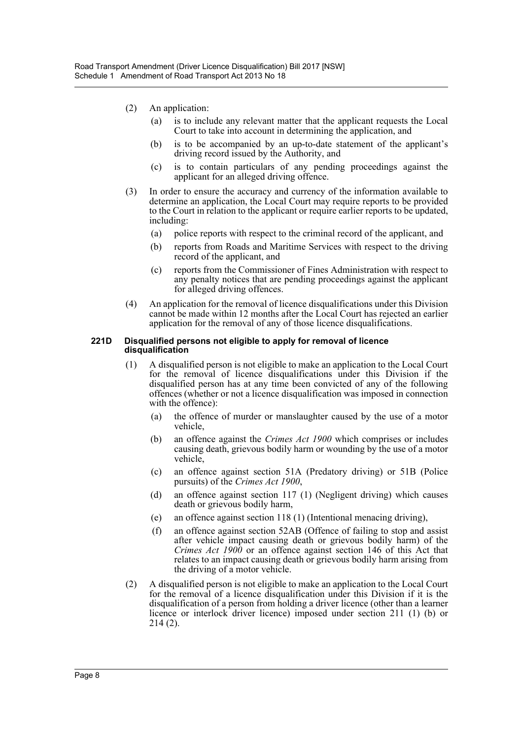- (2) An application:
	- (a) is to include any relevant matter that the applicant requests the Local Court to take into account in determining the application, and
	- (b) is to be accompanied by an up-to-date statement of the applicant's driving record issued by the Authority, and
	- (c) is to contain particulars of any pending proceedings against the applicant for an alleged driving offence.
- (3) In order to ensure the accuracy and currency of the information available to determine an application, the Local Court may require reports to be provided to the Court in relation to the applicant or require earlier reports to be updated, including:
	- (a) police reports with respect to the criminal record of the applicant, and
	- (b) reports from Roads and Maritime Services with respect to the driving record of the applicant, and
	- (c) reports from the Commissioner of Fines Administration with respect to any penalty notices that are pending proceedings against the applicant for alleged driving offences.
- (4) An application for the removal of licence disqualifications under this Division cannot be made within 12 months after the Local Court has rejected an earlier application for the removal of any of those licence disqualifications.

#### **221D Disqualified persons not eligible to apply for removal of licence disqualification**

- (1) A disqualified person is not eligible to make an application to the Local Court for the removal of licence disqualifications under this Division if the disqualified person has at any time been convicted of any of the following offences (whether or not a licence disqualification was imposed in connection with the offence):
	- (a) the offence of murder or manslaughter caused by the use of a motor vehicle,
	- (b) an offence against the *Crimes Act 1900* which comprises or includes causing death, grievous bodily harm or wounding by the use of a motor vehicle,
	- (c) an offence against section 51A (Predatory driving) or 51B (Police pursuits) of the *Crimes Act 1900*,
	- (d) an offence against section 117 (1) (Negligent driving) which causes death or grievous bodily harm,
	- (e) an offence against section 118 (1) (Intentional menacing driving),
	- (f) an offence against section 52AB (Offence of failing to stop and assist after vehicle impact causing death or grievous bodily harm) of the *Crimes Act 1900* or an offence against section 146 of this Act that relates to an impact causing death or grievous bodily harm arising from the driving of a motor vehicle.
- (2) A disqualified person is not eligible to make an application to the Local Court for the removal of a licence disqualification under this Division if it is the disqualification of a person from holding a driver licence (other than a learner licence or interlock driver licence) imposed under section 211 (1) (b) or 214 (2).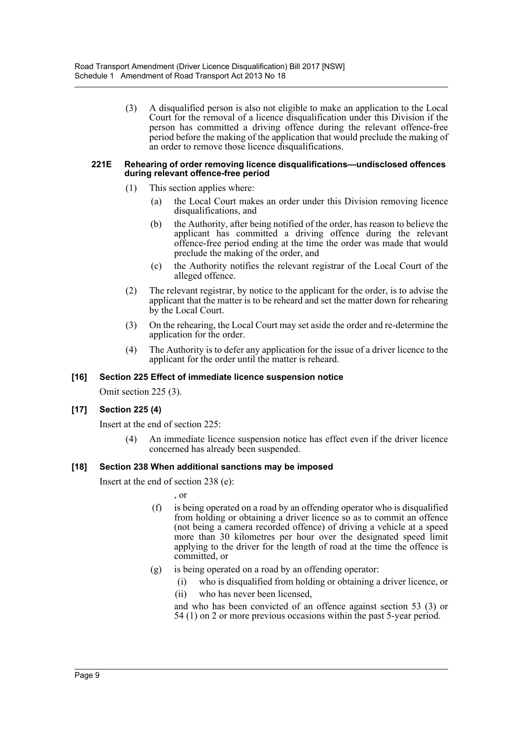(3) A disqualified person is also not eligible to make an application to the Local Court for the removal of a licence disqualification under this Division if the person has committed a driving offence during the relevant offence-free period before the making of the application that would preclude the making of an order to remove those licence disqualifications.

#### **221E Rehearing of order removing licence disqualifications—undisclosed offences during relevant offence-free period**

- (1) This section applies where:
	- (a) the Local Court makes an order under this Division removing licence disqualifications, and
	- (b) the Authority, after being notified of the order, has reason to believe the applicant has committed a driving offence during the relevant offence-free period ending at the time the order was made that would preclude the making of the order, and
	- (c) the Authority notifies the relevant registrar of the Local Court of the alleged offence.
- (2) The relevant registrar, by notice to the applicant for the order, is to advise the applicant that the matter is to be reheard and set the matter down for rehearing by the Local Court.
- (3) On the rehearing, the Local Court may set aside the order and re-determine the application for the order.
- (4) The Authority is to defer any application for the issue of a driver licence to the applicant for the order until the matter is reheard.

# **[16] Section 225 Effect of immediate licence suspension notice**

Omit section 225 (3).

# **[17] Section 225 (4)**

Insert at the end of section 225:

(4) An immediate licence suspension notice has effect even if the driver licence concerned has already been suspended.

# **[18] Section 238 When additional sanctions may be imposed**

Insert at the end of section 238 (e):

- , or
- (f) is being operated on a road by an offending operator who is disqualified from holding or obtaining a driver licence so as to commit an offence (not being a camera recorded offence) of driving a vehicle at a speed more than 30 kilometres per hour over the designated speed limit applying to the driver for the length of road at the time the offence is committed, or
- (g) is being operated on a road by an offending operator:
	- (i) who is disqualified from holding or obtaining a driver licence, or
	- (ii) who has never been licensed,

and who has been convicted of an offence against section 53 (3) or 54 (1) on 2 or more previous occasions within the past 5-year period.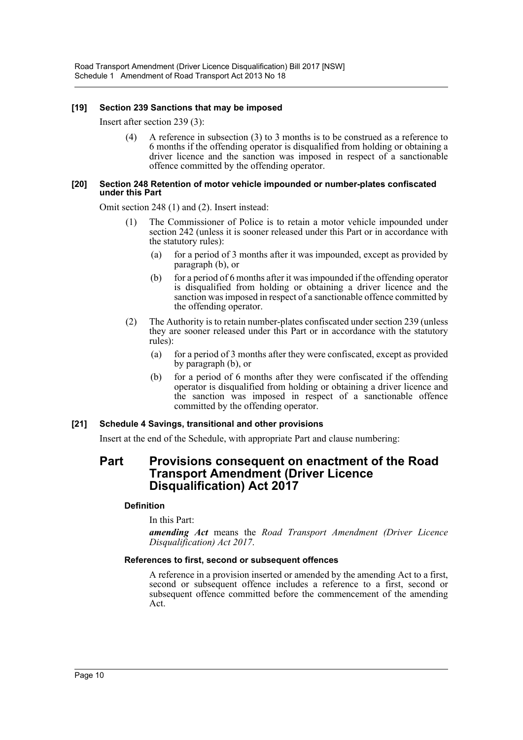# **[19] Section 239 Sanctions that may be imposed**

Insert after section 239 (3):

(4) A reference in subsection (3) to 3 months is to be construed as a reference to 6 months if the offending operator is disqualified from holding or obtaining a driver licence and the sanction was imposed in respect of a sanctionable offence committed by the offending operator.

#### **[20] Section 248 Retention of motor vehicle impounded or number-plates confiscated under this Part**

Omit section 248 (1) and (2). Insert instead:

- (1) The Commissioner of Police is to retain a motor vehicle impounded under section 242 (unless it is sooner released under this Part or in accordance with the statutory rules):
	- (a) for a period of 3 months after it was impounded, except as provided by paragraph (b), or
	- (b) for a period of 6 months after it was impounded if the offending operator is disqualified from holding or obtaining a driver licence and the sanction was imposed in respect of a sanctionable offence committed by the offending operator.
- (2) The Authority is to retain number-plates confiscated under section 239 (unless they are sooner released under this Part or in accordance with the statutory rules):
	- (a) for a period of 3 months after they were confiscated, except as provided by paragraph (b), or
	- (b) for a period of 6 months after they were confiscated if the offending operator is disqualified from holding or obtaining a driver licence and the sanction was imposed in respect of a sanctionable offence committed by the offending operator.

# **[21] Schedule 4 Savings, transitional and other provisions**

Insert at the end of the Schedule, with appropriate Part and clause numbering:

# **Part Provisions consequent on enactment of the Road Transport Amendment (Driver Licence Disqualification) Act 2017**

# **Definition**

# In this Part:

*amending Act* means the *Road Transport Amendment (Driver Licence Disqualification) Act 2017*.

# **References to first, second or subsequent offences**

A reference in a provision inserted or amended by the amending Act to a first, second or subsequent offence includes a reference to a first, second or subsequent offence committed before the commencement of the amending Act.